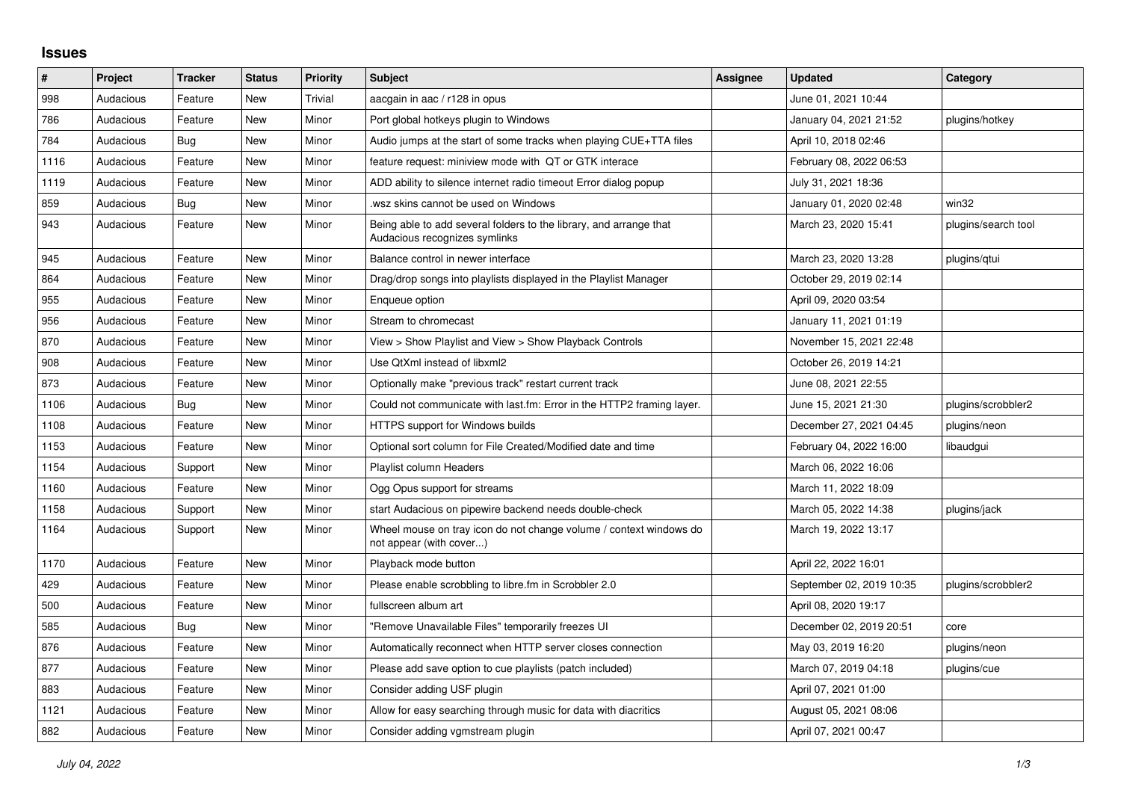## **Issues**

| #    | Project   | <b>Tracker</b> | <b>Status</b> | <b>Priority</b> | <b>Subject</b>                                                                                      | Assignee | <b>Updated</b>           | Category            |
|------|-----------|----------------|---------------|-----------------|-----------------------------------------------------------------------------------------------------|----------|--------------------------|---------------------|
| 998  | Audacious | Feature        | <b>New</b>    | Trivial         | aacgain in aac / r128 in opus                                                                       |          | June 01, 2021 10:44      |                     |
| 786  | Audacious | Feature        | <b>New</b>    | Minor           | Port global hotkeys plugin to Windows                                                               |          | January 04, 2021 21:52   | plugins/hotkey      |
| 784  | Audacious | Bug            | New           | Minor           | Audio jumps at the start of some tracks when playing CUE+TTA files                                  |          | April 10, 2018 02:46     |                     |
| 1116 | Audacious | Feature        | <b>New</b>    | Minor           | feature request: miniview mode with QT or GTK interace                                              |          | February 08, 2022 06:53  |                     |
| 1119 | Audacious | Feature        | <b>New</b>    | Minor           | ADD ability to silence internet radio timeout Error dialog popup                                    |          | July 31, 2021 18:36      |                     |
| 859  | Audacious | Bug            | <b>New</b>    | Minor           | wsz skins cannot be used on Windows.                                                                |          | January 01, 2020 02:48   | win32               |
| 943  | Audacious | Feature        | New           | Minor           | Being able to add several folders to the library, and arrange that<br>Audacious recognizes symlinks |          | March 23, 2020 15:41     | plugins/search tool |
| 945  | Audacious | Feature        | <b>New</b>    | Minor           | Balance control in newer interface                                                                  |          | March 23, 2020 13:28     | plugins/gtui        |
| 864  | Audacious | Feature        | New           | Minor           | Drag/drop songs into playlists displayed in the Playlist Manager                                    |          | October 29, 2019 02:14   |                     |
| 955  | Audacious | Feature        | <b>New</b>    | Minor           | Enqueue option                                                                                      |          | April 09, 2020 03:54     |                     |
| 956  | Audacious | Feature        | New           | Minor           | Stream to chromecast                                                                                |          | January 11, 2021 01:19   |                     |
| 870  | Audacious | Feature        | <b>New</b>    | Minor           | View > Show Playlist and View > Show Playback Controls                                              |          | November 15, 2021 22:48  |                     |
| 908  | Audacious | Feature        | <b>New</b>    | Minor           | Use QtXml instead of libxml2                                                                        |          | October 26, 2019 14:21   |                     |
| 873  | Audacious | Feature        | New           | Minor           | Optionally make "previous track" restart current track                                              |          | June 08, 2021 22:55      |                     |
| 1106 | Audacious | Bug            | <b>New</b>    | Minor           | Could not communicate with last.fm: Error in the HTTP2 framing layer.                               |          | June 15, 2021 21:30      | plugins/scrobbler2  |
| 1108 | Audacious | Feature        | <b>New</b>    | Minor           | <b>HTTPS support for Windows builds</b>                                                             |          | December 27, 2021 04:45  | plugins/neon        |
| 1153 | Audacious | Feature        | New           | Minor           | Optional sort column for File Created/Modified date and time                                        |          | February 04, 2022 16:00  | libaudgui           |
| 1154 | Audacious | Support        | <b>New</b>    | Minor           | Playlist column Headers                                                                             |          | March 06, 2022 16:06     |                     |
| 1160 | Audacious | Feature        | <b>New</b>    | Minor           | Ogg Opus support for streams                                                                        |          | March 11, 2022 18:09     |                     |
| 1158 | Audacious | Support        | New           | Minor           | start Audacious on pipewire backend needs double-check                                              |          | March 05, 2022 14:38     | plugins/jack        |
| 1164 | Audacious | Support        | <b>New</b>    | Minor           | Wheel mouse on tray icon do not change volume / context windows do<br>not appear (with cover)       |          | March 19, 2022 13:17     |                     |
| 1170 | Audacious | Feature        | <b>New</b>    | Minor           | Playback mode button                                                                                |          | April 22, 2022 16:01     |                     |
| 429  | Audacious | Feature        | <b>New</b>    | Minor           | Please enable scrobbling to libre.fm in Scrobbler 2.0                                               |          | September 02, 2019 10:35 | plugins/scrobbler2  |
| 500  | Audacious | Feature        | New           | Minor           | fullscreen album art                                                                                |          | April 08, 2020 19:17     |                     |
| 585  | Audacious | <b>Bug</b>     | <b>New</b>    | Minor           | "Remove Unavailable Files" temporarily freezes UI                                                   |          | December 02, 2019 20:51  | core                |
| 876  | Audacious | Feature        | <b>New</b>    | Minor           | Automatically reconnect when HTTP server closes connection                                          |          | May 03, 2019 16:20       | plugins/neon        |
| 877  | Audacious | Feature        | <b>New</b>    | Minor           | Please add save option to cue playlists (patch included)                                            |          | March 07, 2019 04:18     | plugins/cue         |
| 883  | Audacious | Feature        | <b>New</b>    | Minor           | Consider adding USF plugin                                                                          |          | April 07, 2021 01:00     |                     |
| 1121 | Audacious | Feature        | <b>New</b>    | Minor           | Allow for easy searching through music for data with diacritics                                     |          | August 05, 2021 08:06    |                     |
| 882  | Audacious | Feature        | <b>New</b>    | Minor           | Consider adding vgmstream plugin                                                                    |          | April 07, 2021 00:47     |                     |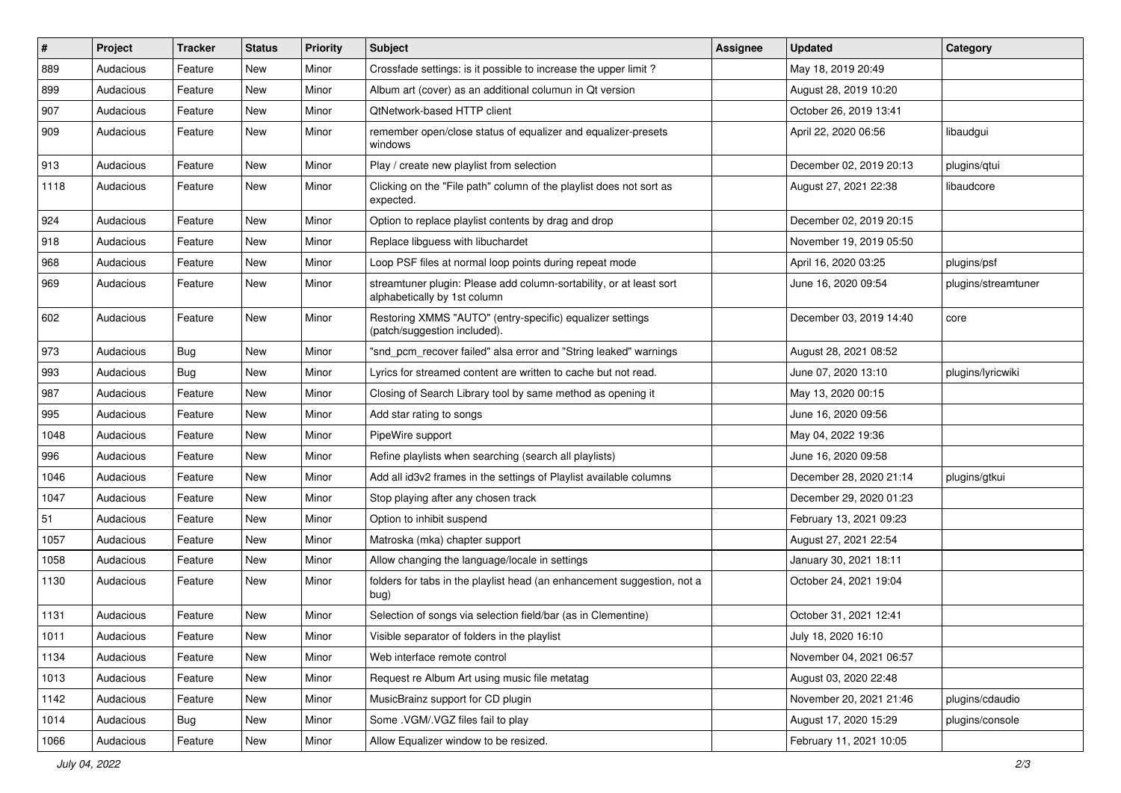| #    | Project   | <b>Tracker</b> | <b>Status</b> | <b>Priority</b> | Subject                                                                                             | <b>Assignee</b> | <b>Updated</b>          | Category            |
|------|-----------|----------------|---------------|-----------------|-----------------------------------------------------------------------------------------------------|-----------------|-------------------------|---------------------|
| 889  | Audacious | Feature        | New           | Minor           | Crossfade settings: is it possible to increase the upper limit?                                     |                 | May 18, 2019 20:49      |                     |
| 899  | Audacious | Feature        | New           | Minor           | Album art (cover) as an additional columun in Qt version                                            |                 | August 28, 2019 10:20   |                     |
| 907  | Audacious | Feature        | New           | Minor           | QtNetwork-based HTTP client                                                                         |                 | October 26, 2019 13:41  |                     |
| 909  | Audacious | Feature        | New           | Minor           | remember open/close status of equalizer and equalizer-presets<br>windows                            |                 | April 22, 2020 06:56    | libaudgui           |
| 913  | Audacious | Feature        | New           | Minor           | Play / create new playlist from selection                                                           |                 | December 02, 2019 20:13 | plugins/qtui        |
| 1118 | Audacious | Feature        | New           | Minor           | Clicking on the "File path" column of the playlist does not sort as<br>expected.                    |                 | August 27, 2021 22:38   | libaudcore          |
| 924  | Audacious | Feature        | New           | Minor           | Option to replace playlist contents by drag and drop                                                |                 | December 02, 2019 20:15 |                     |
| 918  | Audacious | Feature        | New           | Minor           | Replace libguess with libuchardet                                                                   |                 | November 19, 2019 05:50 |                     |
| 968  | Audacious | Feature        | New           | Minor           | Loop PSF files at normal loop points during repeat mode                                             |                 | April 16, 2020 03:25    | plugins/psf         |
| 969  | Audacious | Feature        | New           | Minor           | streamtuner plugin: Please add column-sortability, or at least sort<br>alphabetically by 1st column |                 | June 16, 2020 09:54     | plugins/streamtuner |
| 602  | Audacious | Feature        | New           | Minor           | Restoring XMMS "AUTO" (entry-specific) equalizer settings<br>(patch/suggestion included).           |                 | December 03, 2019 14:40 | core                |
| 973  | Audacious | Bug            | New           | Minor           | "snd_pcm_recover failed" alsa error and "String leaked" warnings                                    |                 | August 28, 2021 08:52   |                     |
| 993  | Audacious | Bug            | New           | Minor           | Lyrics for streamed content are written to cache but not read.                                      |                 | June 07, 2020 13:10     | plugins/lyricwiki   |
| 987  | Audacious | Feature        | New           | Minor           | Closing of Search Library tool by same method as opening it                                         |                 | May 13, 2020 00:15      |                     |
| 995  | Audacious | Feature        | New           | Minor           | Add star rating to songs                                                                            |                 | June 16, 2020 09:56     |                     |
| 1048 | Audacious | Feature        | New           | Minor           | PipeWire support                                                                                    |                 | May 04, 2022 19:36      |                     |
| 996  | Audacious | Feature        | New           | Minor           | Refine playlists when searching (search all playlists)                                              |                 | June 16, 2020 09:58     |                     |
| 1046 | Audacious | Feature        | New           | Minor           | Add all id3v2 frames in the settings of Playlist available columns                                  |                 | December 28, 2020 21:14 | plugins/gtkui       |
| 1047 | Audacious | Feature        | New           | Minor           | Stop playing after any chosen track                                                                 |                 | December 29, 2020 01:23 |                     |
| 51   | Audacious | Feature        | New           | Minor           | Option to inhibit suspend                                                                           |                 | February 13, 2021 09:23 |                     |
| 1057 | Audacious | Feature        | New           | Minor           | Matroska (mka) chapter support                                                                      |                 | August 27, 2021 22:54   |                     |
| 1058 | Audacious | Feature        | New           | Minor           | Allow changing the language/locale in settings                                                      |                 | January 30, 2021 18:11  |                     |
| 1130 | Audacious | Feature        | New           | Minor           | folders for tabs in the playlist head (an enhancement suggestion, not a<br>bug)                     |                 | October 24, 2021 19:04  |                     |
| 1131 | Audacious | Feature        | New           | Minor           | Selection of songs via selection field/bar (as in Clementine)                                       |                 | October 31, 2021 12:41  |                     |
| 1011 | Audacious | Feature        | New           | Minor           | Visible separator of folders in the playlist                                                        |                 | July 18, 2020 16:10     |                     |
| 1134 | Audacious | Feature        | New           | Minor           | Web interface remote control                                                                        |                 | November 04, 2021 06:57 |                     |
| 1013 | Audacious | Feature        | New           | Minor           | Request re Album Art using music file metatag                                                       |                 | August 03, 2020 22:48   |                     |
| 1142 | Audacious | Feature        | New           | Minor           | MusicBrainz support for CD plugin                                                                   |                 | November 20, 2021 21:46 | plugins/cdaudio     |
| 1014 | Audacious | <b>Bug</b>     | New           | Minor           | Some .VGM/.VGZ files fail to play                                                                   |                 | August 17, 2020 15:29   | plugins/console     |
| 1066 | Audacious | Feature        | New           | Minor           | Allow Equalizer window to be resized.                                                               |                 | February 11, 2021 10:05 |                     |